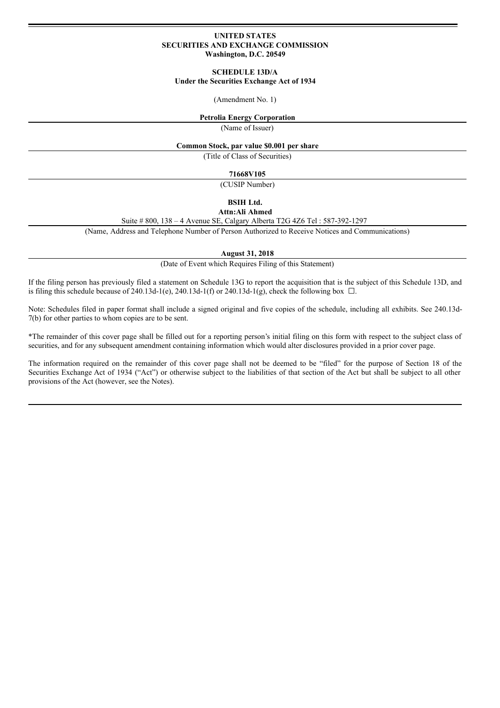### **UNITED STATES SECURITIES AND EXCHANGE COMMISSION Washington, D.C. 20549**

#### **SCHEDULE 13D/A**

# **Under the Securities Exchange Act of 1934**

#### (Amendment No. 1)

## **Petrolia Energy Corporation**

(Name of Issuer)

#### **Common Stock, par value \$0.001 per share**

(Title of Class of Securities)

**71668V105**

(CUSIP Number)

#### **BSIH Ltd.**

## **Attn:Ali Ahmed**

Suite # 800, 138 – 4 Avenue SE, Calgary Alberta T2G 4Z6 Tel : 587-392-1297

(Name, Address and Telephone Number of Person Authorized to Receive Notices and Communications)

**August 31, 2018**

(Date of Event which Requires Filing of this Statement)

If the filing person has previously filed a statement on Schedule 13G to report the acquisition that is the subject of this Schedule 13D, and is filing this schedule because of 240.13d-1(e), 240.13d-1(f) or 240.13d-1(g), check the following box  $\Box$ .

Note: Schedules filed in paper format shall include a signed original and five copies of the schedule, including all exhibits. See 240.13d-7(b) for other parties to whom copies are to be sent.

\*The remainder of this cover page shall be filled out for a reporting person's initial filing on this form with respect to the subject class of securities, and for any subsequent amendment containing information which would alter disclosures provided in a prior cover page.

The information required on the remainder of this cover page shall not be deemed to be "filed" for the purpose of Section 18 of the Securities Exchange Act of 1934 ("Act") or otherwise subject to the liabilities of that section of the Act but shall be subject to all other provisions of the Act (however, see the Notes).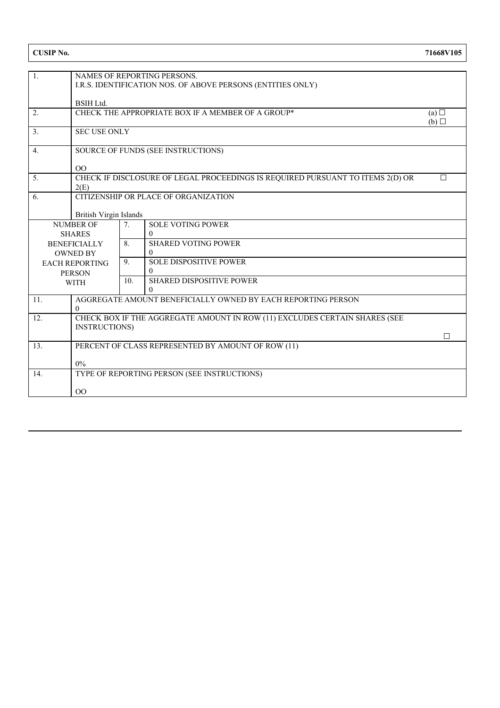| $\boxed{1}$         |                                                                            |                      |                                                                                |   |  |  |  |  |
|---------------------|----------------------------------------------------------------------------|----------------------|--------------------------------------------------------------------------------|---|--|--|--|--|
|                     | NAMES OF REPORTING PERSONS.                                                |                      |                                                                                |   |  |  |  |  |
|                     | I.R.S. IDENTIFICATION NOS. OF ABOVE PERSONS (ENTITIES ONLY)                |                      |                                                                                |   |  |  |  |  |
|                     | <b>BSIH Ltd.</b>                                                           |                      |                                                                                |   |  |  |  |  |
| 2.                  | CHECK THE APPROPRIATE BOX IF A MEMBER OF A GROUP*<br>(a)                   |                      |                                                                                |   |  |  |  |  |
|                     |                                                                            |                      |                                                                                |   |  |  |  |  |
| 3.                  | (b)<br><b>SEC USE ONLY</b>                                                 |                      |                                                                                |   |  |  |  |  |
|                     |                                                                            |                      |                                                                                |   |  |  |  |  |
| $\overline{4}$ .    | <b>SOURCE OF FUNDS (SEE INSTRUCTIONS)</b>                                  |                      |                                                                                |   |  |  |  |  |
|                     |                                                                            |                      |                                                                                |   |  |  |  |  |
|                     | 00                                                                         |                      |                                                                                |   |  |  |  |  |
| 5.                  |                                                                            |                      | CHECK IF DISCLOSURE OF LEGAL PROCEEDINGS IS REQUIRED PURSUANT TO ITEMS 2(D) OR | П |  |  |  |  |
|                     | 2(E)                                                                       |                      |                                                                                |   |  |  |  |  |
| 6.                  | <b>CITIZENSHIP OR PLACE OF ORGANIZATION</b>                                |                      |                                                                                |   |  |  |  |  |
|                     |                                                                            |                      |                                                                                |   |  |  |  |  |
|                     | <b>British Virgin Islands</b>                                              |                      |                                                                                |   |  |  |  |  |
| <b>NUMBER OF</b>    |                                                                            | 7.                   | <b>SOLE VOTING POWER</b>                                                       |   |  |  |  |  |
| <b>SHARES</b>       |                                                                            |                      | $\Omega$                                                                       |   |  |  |  |  |
| <b>BENEFICIALLY</b> |                                                                            | 8.                   | <b>SHARED VOTING POWER</b>                                                     |   |  |  |  |  |
| <b>OWNED BY</b>     |                                                                            |                      | $\Omega$                                                                       |   |  |  |  |  |
|                     | <b>EACH REPORTING</b>                                                      | 9.                   | <b>SOLE DISPOSITIVE POWER</b><br>$\Omega$                                      |   |  |  |  |  |
| <b>PERSON</b>       |                                                                            | 10.                  | <b>SHARED DISPOSITIVE POWER</b>                                                |   |  |  |  |  |
| <b>WITH</b>         |                                                                            |                      | $\theta$                                                                       |   |  |  |  |  |
| 11.                 | AGGREGATE AMOUNT BENEFICIALLY OWNED BY EACH REPORTING PERSON               |                      |                                                                                |   |  |  |  |  |
|                     | $\Omega$                                                                   |                      |                                                                                |   |  |  |  |  |
| 12.                 | CHECK BOX IF THE AGGREGATE AMOUNT IN ROW (11) EXCLUDES CERTAIN SHARES (SEE |                      |                                                                                |   |  |  |  |  |
|                     |                                                                            | <b>INSTRUCTIONS)</b> |                                                                                |   |  |  |  |  |
|                     |                                                                            |                      |                                                                                | П |  |  |  |  |
| 13.                 | PERCENT OF CLASS REPRESENTED BY AMOUNT OF ROW (11)                         |                      |                                                                                |   |  |  |  |  |
|                     |                                                                            |                      |                                                                                |   |  |  |  |  |
|                     | $0\%$                                                                      |                      |                                                                                |   |  |  |  |  |
| 14.                 | TYPE OF REPORTING PERSON (SEE INSTRUCTIONS)                                |                      |                                                                                |   |  |  |  |  |
|                     |                                                                            |                      |                                                                                |   |  |  |  |  |
|                     | 00                                                                         |                      |                                                                                |   |  |  |  |  |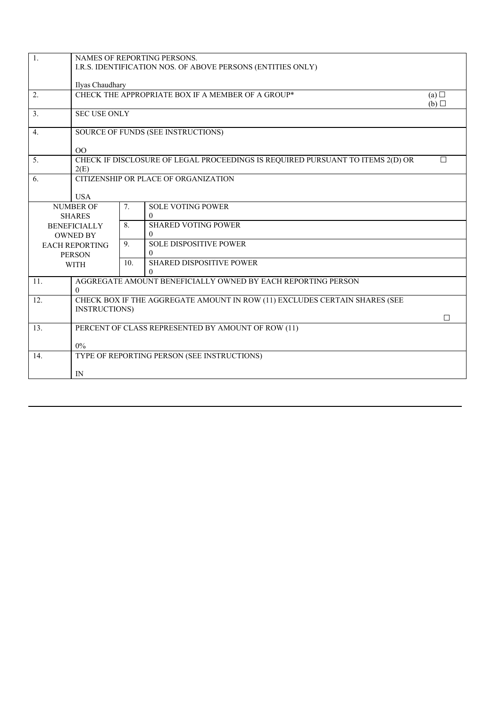| 1.                    |                                                                                |                                                             | NAMES OF REPORTING PERSONS.                                                |        |  |  |  |  |
|-----------------------|--------------------------------------------------------------------------------|-------------------------------------------------------------|----------------------------------------------------------------------------|--------|--|--|--|--|
|                       |                                                                                | I.R.S. IDENTIFICATION NOS. OF ABOVE PERSONS (ENTITIES ONLY) |                                                                            |        |  |  |  |  |
|                       |                                                                                |                                                             |                                                                            |        |  |  |  |  |
|                       | Ilyas Chaudhary                                                                |                                                             |                                                                            |        |  |  |  |  |
| 2.                    |                                                                                |                                                             | CHECK THE APPROPRIATE BOX IF A MEMBER OF A GROUP*                          | (a)    |  |  |  |  |
|                       |                                                                                |                                                             |                                                                            | (b)    |  |  |  |  |
| 3.                    | <b>SEC USE ONLY</b>                                                            |                                                             |                                                                            |        |  |  |  |  |
|                       |                                                                                |                                                             |                                                                            |        |  |  |  |  |
| 4.                    |                                                                                |                                                             | SOURCE OF FUNDS (SEE INSTRUCTIONS)                                         |        |  |  |  |  |
|                       |                                                                                |                                                             |                                                                            |        |  |  |  |  |
|                       | OO                                                                             |                                                             |                                                                            | $\Box$ |  |  |  |  |
| 5.                    | CHECK IF DISCLOSURE OF LEGAL PROCEEDINGS IS REQUIRED PURSUANT TO ITEMS 2(D) OR |                                                             |                                                                            |        |  |  |  |  |
| 6.                    | 2(E)                                                                           |                                                             |                                                                            |        |  |  |  |  |
|                       | CITIZENSHIP OR PLACE OF ORGANIZATION                                           |                                                             |                                                                            |        |  |  |  |  |
|                       | <b>USA</b>                                                                     |                                                             |                                                                            |        |  |  |  |  |
| <b>NUMBER OF</b>      |                                                                                | 7.                                                          | <b>SOLE VOTING POWER</b>                                                   |        |  |  |  |  |
| <b>SHARES</b>         |                                                                                |                                                             | $\Omega$                                                                   |        |  |  |  |  |
| <b>BENEFICIALLY</b>   |                                                                                | 8.                                                          | <b>SHARED VOTING POWER</b>                                                 |        |  |  |  |  |
| <b>OWNED BY</b>       |                                                                                |                                                             | $\Omega$                                                                   |        |  |  |  |  |
| <b>EACH REPORTING</b> |                                                                                | 9.                                                          | <b>SOLE DISPOSITIVE POWER</b>                                              |        |  |  |  |  |
| <b>PERSON</b>         |                                                                                |                                                             | $\Omega$                                                                   |        |  |  |  |  |
| <b>WITH</b>           |                                                                                | 10.                                                         | <b>SHARED DISPOSITIVE POWER</b>                                            |        |  |  |  |  |
|                       |                                                                                |                                                             | 0                                                                          |        |  |  |  |  |
| 11.                   | AGGREGATE AMOUNT BENEFICIALLY OWNED BY EACH REPORTING PERSON                   |                                                             |                                                                            |        |  |  |  |  |
|                       | $\mathbf{0}$                                                                   |                                                             |                                                                            |        |  |  |  |  |
| 12.                   |                                                                                |                                                             | CHECK BOX IF THE AGGREGATE AMOUNT IN ROW (11) EXCLUDES CERTAIN SHARES (SEE |        |  |  |  |  |
|                       | <b>INSTRUCTIONS)</b>                                                           |                                                             |                                                                            | П      |  |  |  |  |
| 13.                   | PERCENT OF CLASS REPRESENTED BY AMOUNT OF ROW (11)                             |                                                             |                                                                            |        |  |  |  |  |
|                       |                                                                                |                                                             |                                                                            |        |  |  |  |  |
|                       | 0%                                                                             |                                                             |                                                                            |        |  |  |  |  |
| 14.                   | TYPE OF REPORTING PERSON (SEE INSTRUCTIONS)                                    |                                                             |                                                                            |        |  |  |  |  |
|                       |                                                                                |                                                             |                                                                            |        |  |  |  |  |
|                       | IN                                                                             |                                                             |                                                                            |        |  |  |  |  |
|                       |                                                                                |                                                             |                                                                            |        |  |  |  |  |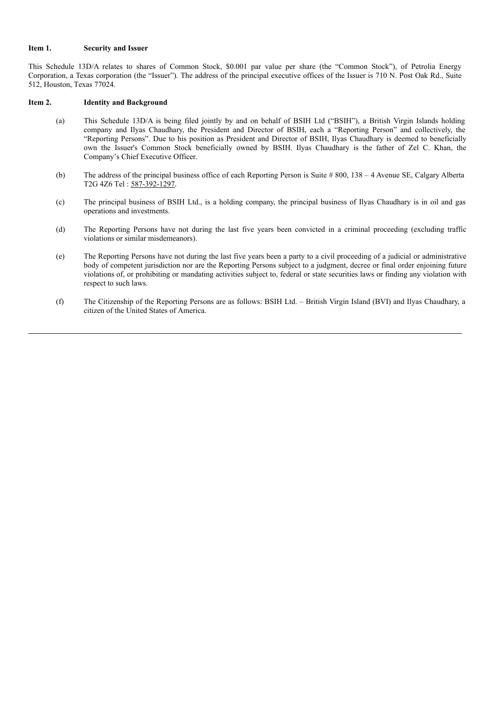#### **Item 1. Security and Issuer**

This Schedule 13D/A relates to shares of Common Stock, \$0.001 par value per share (the "Common Stock"), of Petrolia Energy Corporation, a Texas corporation (the "Issuer"). The address of the principal executive offices of the Issuer is 710 N. Post Oak Rd., Suite 512, Houston, Texas 77024.

### **Item 2. Identity and Background**

- (a) This Schedule 13D/A is being filed jointly by and on behalf of BSIH Ltd ("BSIH"), a British Virgin Islands holding company and Ilyas Chaudhary, the President and Director of BSIH, each a "Reporting Person" and collectively, the "Reporting Persons". Due to his position as President and Director of BSIH, Ilyas Chaudhary is deemed to beneficially own the Issuer's Common Stock beneficially owned by BSIH. Ilyas Chaudhary is the father of Zel C. Khan, the Company's Chief Executive Officer.
- (b) The address of the principal business office of each Reporting Person is Suite # 800, 138 4 Avenue SE, Calgary Alberta T2G 4Z6 Tel : 587-392-1297.
- (c) The principal business of BSIH Ltd., is a holding company, the principal business of Ilyas Chaudhary is in oil and gas operations and investments.
- (d) The Reporting Persons have not during the last five years been convicted in a criminal proceeding (excluding traffic violations or similar misdemeanors).
- (e) The Reporting Persons have not during the last five years been a party to a civil proceeding of a judicial or administrative body of competent jurisdiction nor are the Reporting Persons subject to a judgment, decree or final order enjoining future violations of, or prohibiting or mandating activities subject to, federal or state securities laws or finding any violation with respect to such laws.
- (f) The Citizenship of the Reporting Persons are as follows: BSIH Ltd. British Virgin Island (BVI) and Ilyas Chaudhary, a citizen of the United States of America.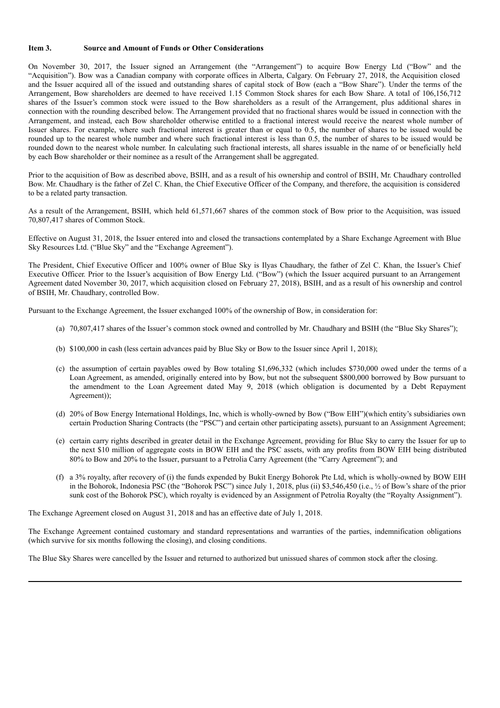### **Item 3. Source and Amount of Funds or Other Considerations**

On November 30, 2017, the Issuer signed an Arrangement (the "Arrangement") to acquire Bow Energy Ltd ("Bow" and the "Acquisition"). Bow was a Canadian company with corporate offices in Alberta, Calgary. On February 27, 2018, the Acquisition closed and the Issuer acquired all of the issued and outstanding shares of capital stock of Bow (each a "Bow Share"). Under the terms of the Arrangement, Bow shareholders are deemed to have received 1.15 Common Stock shares for each Bow Share. A total of 106,156,712 shares of the Issuer's common stock were issued to the Bow shareholders as a result of the Arrangement, plus additional shares in connection with the rounding described below. The Arrangement provided that no fractional shares would be issued in connection with the Arrangement, and instead, each Bow shareholder otherwise entitled to a fractional interest would receive the nearest whole number of Issuer shares. For example, where such fractional interest is greater than or equal to 0.5, the number of shares to be issued would be rounded up to the nearest whole number and where such fractional interest is less than 0.5, the number of shares to be issued would be rounded down to the nearest whole number. In calculating such fractional interests, all shares issuable in the name of or beneficially held by each Bow shareholder or their nominee as a result of the Arrangement shall be aggregated.

Prior to the acquisition of Bow as described above, BSIH, and as a result of his ownership and control of BSIH, Mr. Chaudhary controlled Bow. Mr. Chaudhary is the father of Zel C. Khan, the Chief Executive Officer of the Company, and therefore, the acquisition is considered to be a related party transaction.

As a result of the Arrangement, BSIH, which held 61,571,667 shares of the common stock of Bow prior to the Acquisition, was issued 70,807,417 shares of Common Stock.

Effective on August 31, 2018, the Issuer entered into and closed the transactions contemplated by a Share Exchange Agreement with Blue Sky Resources Ltd. ("Blue Sky" and the "Exchange Agreement").

The President, Chief Executive Officer and 100% owner of Blue Sky is Ilyas Chaudhary, the father of Zel C. Khan, the Issuer's Chief Executive Officer. Prior to the Issuer's acquisition of Bow Energy Ltd. ("Bow") (which the Issuer acquired pursuant to an Arrangement Agreement dated November 30, 2017, which acquisition closed on February 27, 2018), BSIH, and as a result of his ownership and control of BSIH, Mr. Chaudhary, controlled Bow.

Pursuant to the Exchange Agreement, the Issuer exchanged 100% of the ownership of Bow, in consideration for:

- (a) 70,807,417 shares of the Issuer's common stock owned and controlled by Mr. Chaudhary and BSIH (the "Blue Sky Shares");
- (b) \$100,000 in cash (less certain advances paid by Blue Sky or Bow to the Issuer since April 1, 2018);
- (c) the assumption of certain payables owed by Bow totaling \$1,696,332 (which includes \$730,000 owed under the terms of a Loan Agreement, as amended, originally entered into by Bow, but not the subsequent \$800,000 borrowed by Bow pursuant to the amendment to the Loan Agreement dated May 9, 2018 (which obligation is documented by a Debt Repayment Agreement));
- (d) 20% of Bow Energy International Holdings, Inc, which is wholly-owned by Bow ("Bow EIH")(which entity's subsidiaries own certain Production Sharing Contracts (the "PSC") and certain other participating assets), pursuant to an Assignment Agreement;
- (e) certain carry rights described in greater detail in the Exchange Agreement, providing for Blue Sky to carry the Issuer for up to the next \$10 million of aggregate costs in BOW EIH and the PSC assets, with any profits from BOW EIH being distributed 80% to Bow and 20% to the Issuer, pursuant to a Petrolia Carry Agreement (the "Carry Agreement"); and
- (f) a 3% royalty, after recovery of (i) the funds expended by Bukit Energy Bohorok Pte Ltd, which is wholly-owned by BOW EIH in the Bohorok, Indonesia PSC (the "Bohorok PSC") since July 1, 2018, plus (ii) \$3,546,450 (i.e., ½ of Bow's share of the prior sunk cost of the Bohorok PSC), which royalty is evidenced by an Assignment of Petrolia Royalty (the "Royalty Assignment").

The Exchange Agreement closed on August 31, 2018 and has an effective date of July 1, 2018.

The Exchange Agreement contained customary and standard representations and warranties of the parties, indemnification obligations (which survive for six months following the closing), and closing conditions.

The Blue Sky Shares were cancelled by the Issuer and returned to authorized but unissued shares of common stock after the closing.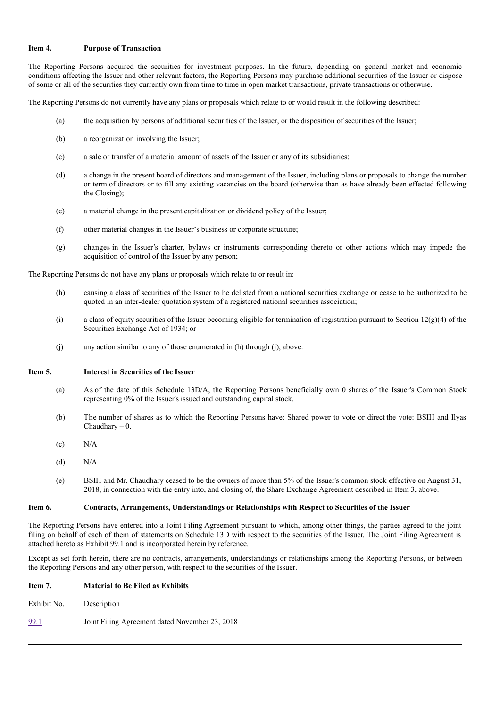### **Item 4. Purpose of Transaction**

The Reporting Persons acquired the securities for investment purposes. In the future, depending on general market and economic conditions affecting the Issuer and other relevant factors, the Reporting Persons may purchase additional securities of the Issuer or dispose of some or all of the securities they currently own from time to time in open market transactions, private transactions or otherwise.

The Reporting Persons do not currently have any plans or proposals which relate to or would result in the following described:

- (a) the acquisition by persons of additional securities of the Issuer, or the disposition of securities of the Issuer;
- (b) a reorganization involving the Issuer;
- (c) a sale or transfer of a material amount of assets of the Issuer or any of its subsidiaries;
- (d) a change in the present board of directors and management of the Issuer, including plans or proposals to change the number or term of directors or to fill any existing vacancies on the board (otherwise than as have already been effected following the Closing);
- (e) a material change in the present capitalization or dividend policy of the Issuer;
- (f) other material changes in the Issuer's business or corporate structure;
- (g) changes in the Issuer's charter, bylaws or instruments corresponding thereto or other actions which may impede the acquisition of control of the Issuer by any person;

The Reporting Persons do not have any plans or proposals which relate to or result in:

- (h) causing a class of securities of the Issuer to be delisted from a national securities exchange or cease to be authorized to be quoted in an inter-dealer quotation system of a registered national securities association;
- (i) a class of equity securities of the Issuer becoming eligible for termination of registration pursuant to Section  $12(g)(4)$  of the Securities Exchange Act of 1934; or
- (j) any action similar to any of those enumerated in (h) through (j), above.

#### **Item 5. Interest in Securities of the Issuer**

- (a) As of the date of this Schedule 13D/A, the Reporting Persons beneficially own 0 shares of the Issuer's Common Stock representing 0% of the Issuer's issued and outstanding capital stock.
- (b) The number of shares as to which the Reporting Persons have: Shared power to vote or direct the vote: BSIH and Ilyas  $Chaudhary - 0.$
- $(c)$  N/A
- $(d)$  N/A
- (e) BSIH and Mr. Chaudhary ceased to be the owners of more than 5% of the Issuer's common stock effective on August 31, 2018, in connection with the entry into, and closing of, the Share Exchange Agreement described in Item 3, above.

#### **Item 6. Contracts, Arrangements, Understandings or Relationships with Respect to Securities of the Issuer**

The Reporting Persons have entered into a Joint Filing Agreement pursuant to which, among other things, the parties agreed to the joint filing on behalf of each of them of statements on Schedule 13D with respect to the securities of the Issuer. The Joint Filing Agreement is attached hereto as Exhibit 99.1 and is incorporated herein by reference.

Except as set forth herein, there are no contracts, arrangements, understandings or relationships among the Reporting Persons, or between the Reporting Persons and any other person, with respect to the securities of the Issuer.

## **Item 7. Material to Be Filed as Exhibits**

Exhibit No. Description

99.1 Joint Filing Agreement dated November 23, 2018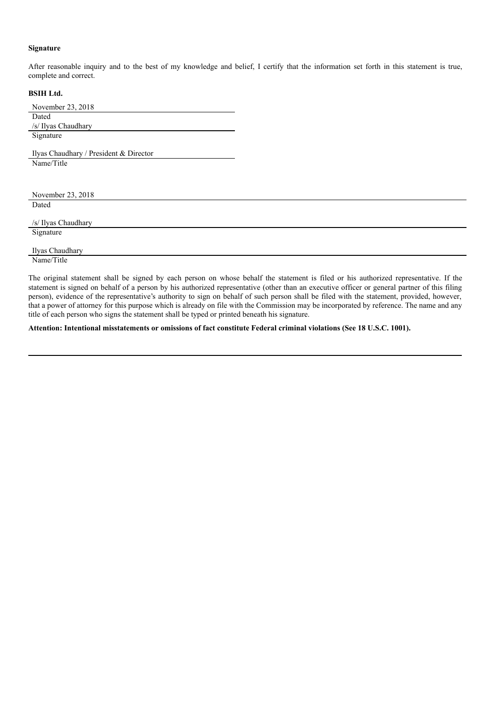## **Signature**

After reasonable inquiry and to the best of my knowledge and belief, I certify that the information set forth in this statement is true, complete and correct.

## **BSIH Ltd.**

| Dated                                  |  |
|----------------------------------------|--|
| /s/ Ilyas Chaudhary                    |  |
| Signature                              |  |
|                                        |  |
| Ilyas Chaudhary / President & Director |  |
| Name/Title                             |  |
|                                        |  |
|                                        |  |
| November 23, 2018                      |  |
| Dated                                  |  |
|                                        |  |
| /s/ Ilyas Chaudhary                    |  |
| Signature                              |  |
|                                        |  |

Ilyas Chaudhary Name/Title

The original statement shall be signed by each person on whose behalf the statement is filed or his authorized representative. If the statement is signed on behalf of a person by his authorized representative (other than an executive officer or general partner of this filing person), evidence of the representative's authority to sign on behalf of such person shall be filed with the statement, provided, however, that a power of attorney for this purpose which is already on file with the Commission may be incorporated by reference. The name and any title of each person who signs the statement shall be typed or printed beneath his signature.

**Attention: Intentional misstatements or omissions of fact constitute Federal criminal violations (See 18 U.S.C. 1001).**